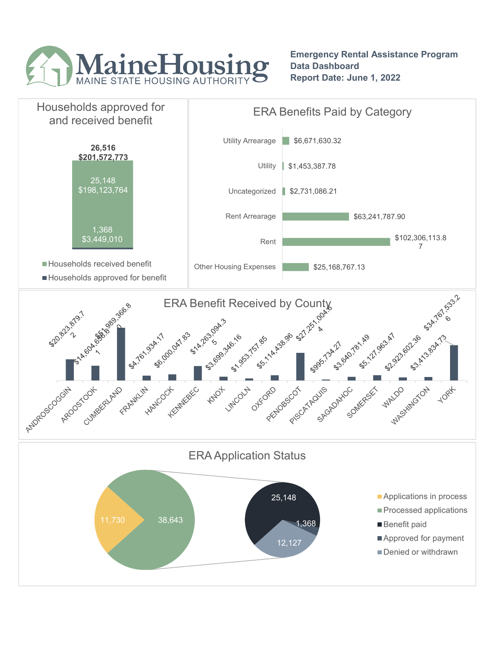

Emergency Rental Assistance Program Data Dashboard Report Date: June 1, 2022